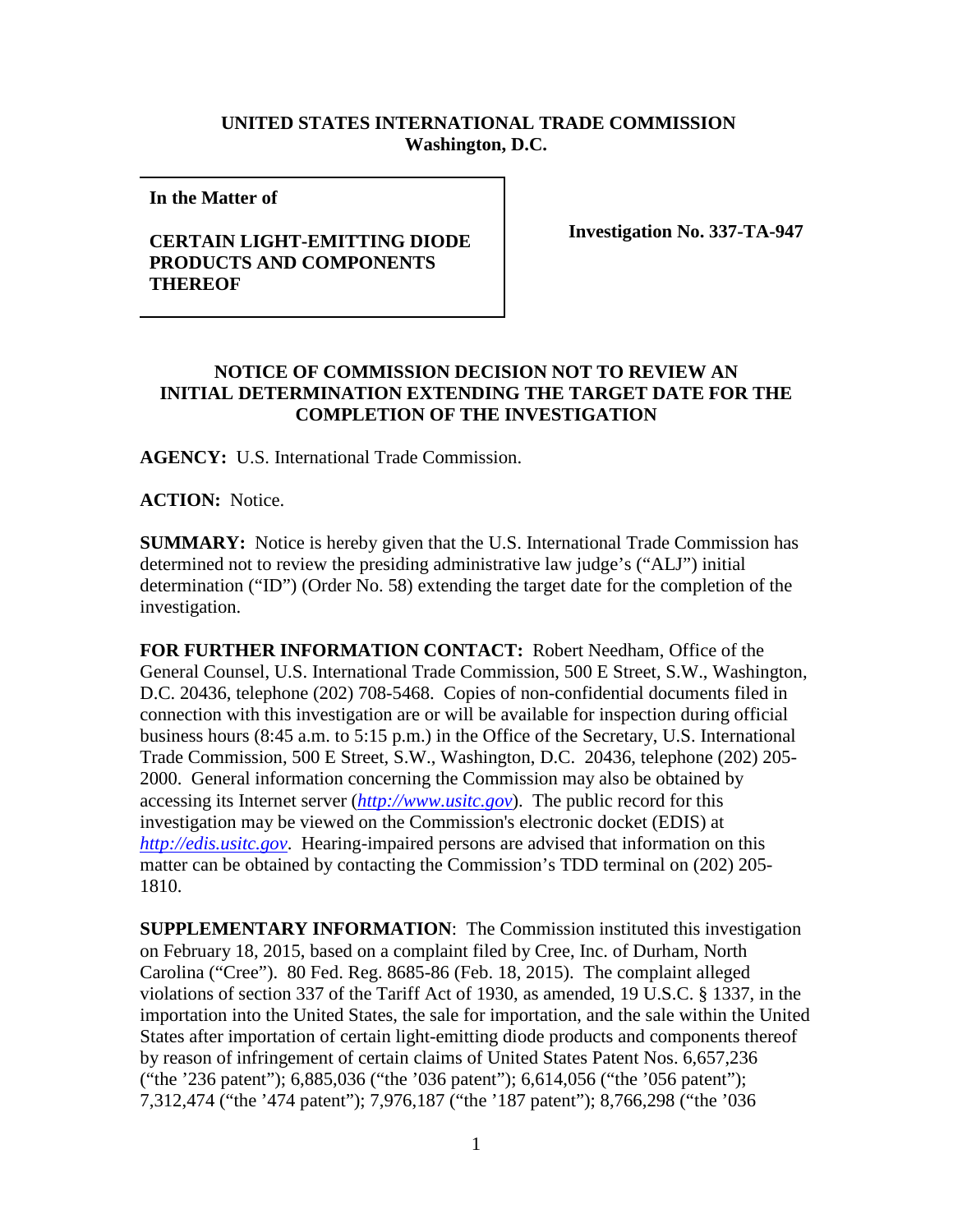## **UNITED STATES INTERNATIONAL TRADE COMMISSION Washington, D.C.**

**In the Matter of** 

## **CERTAIN LIGHT-EMITTING DIODE PRODUCTS AND COMPONENTS THEREOF**

**Investigation No. 337-TA-947**

## **NOTICE OF COMMISSION DECISION NOT TO REVIEW AN INITIAL DETERMINATION EXTENDING THE TARGET DATE FOR THE COMPLETION OF THE INVESTIGATION**

**AGENCY:** U.S. International Trade Commission.

**ACTION:** Notice.

**SUMMARY:** Notice is hereby given that the U.S. International Trade Commission has determined not to review the presiding administrative law judge's ("ALJ") initial determination ("ID") (Order No. 58) extending the target date for the completion of the investigation.

**FOR FURTHER INFORMATION CONTACT:** Robert Needham, Office of the General Counsel, U.S. International Trade Commission, 500 E Street, S.W., Washington, D.C. 20436, telephone (202) 708-5468. Copies of non-confidential documents filed in connection with this investigation are or will be available for inspection during official business hours (8:45 a.m. to 5:15 p.m.) in the Office of the Secretary, U.S. International Trade Commission, 500 E Street, S.W., Washington, D.C. 20436, telephone (202) 205- 2000. General information concerning the Commission may also be obtained by accessing its Internet server (*[http://www.usitc.gov](http://www.usitc.gov/)*). The public record for this investigation may be viewed on the Commission's electronic docket (EDIS) at *[http://edis.usitc.gov](http://edis.usitc.gov/)*. Hearing-impaired persons are advised that information on this matter can be obtained by contacting the Commission's TDD terminal on (202) 205- 1810.

**SUPPLEMENTARY INFORMATION**: The Commission instituted this investigation on February 18, 2015, based on a complaint filed by Cree, Inc. of Durham, North Carolina ("Cree"). 80 Fed. Reg. 8685-86 (Feb. 18, 2015). The complaint alleged violations of section 337 of the Tariff Act of 1930, as amended, 19 U.S.C. § 1337, in the importation into the United States, the sale for importation, and the sale within the United States after importation of certain light-emitting diode products and components thereof by reason of infringement of certain claims of United States Patent Nos. 6,657,236 ("the '236 patent"); 6,885,036 ("the '036 patent"); 6,614,056 ("the '056 patent"); 7,312,474 ("the '474 patent"); 7,976,187 ("the '187 patent"); 8,766,298 ("the '036